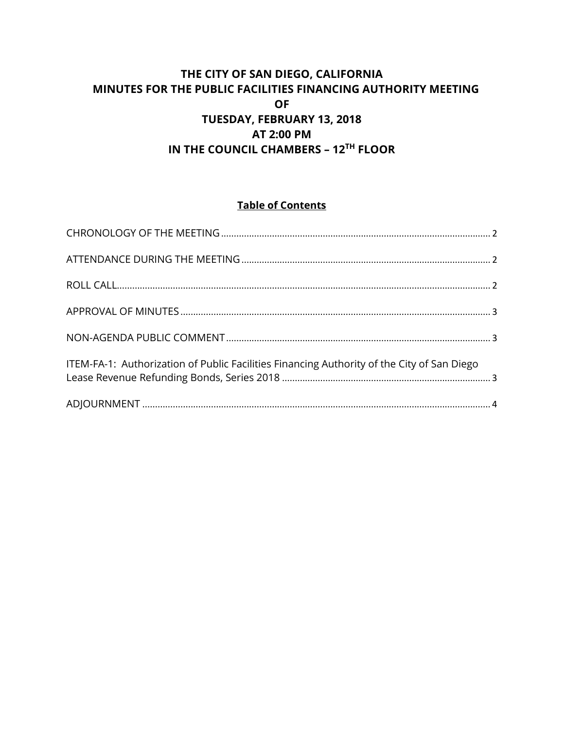# **THE CITY OF SAN DIEGO, CALIFORNIA MINUTES FOR THE PUBLIC FACILITIES FINANCING AUTHORITY MEETING OF TUESDAY, FEBRUARY 13, 2018 AT 2:00 PM IN THE COUNCIL CHAMBERS – 12TH FLOOR**

# **Table of Contents**

| ITEM-FA-1: Authorization of Public Facilities Financing Authority of the City of San Diego |  |
|--------------------------------------------------------------------------------------------|--|
|                                                                                            |  |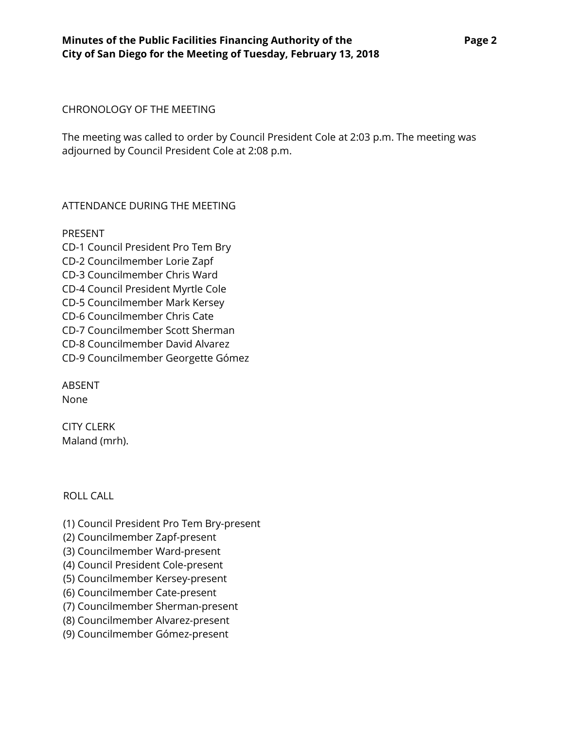#### <span id="page-1-0"></span>CHRONOLOGY OF THE MEETING

The meeting was called to order by Council President Cole at 2:03 p.m. The meeting was adjourned by Council President Cole at 2:08 p.m.

#### <span id="page-1-1"></span>ATTENDANCE DURING THE MEETING

PRESENT CD-1 Council President Pro Tem Bry CD-2 Councilmember Lorie Zapf CD-3 Councilmember Chris Ward CD-4 Council President Myrtle Cole CD-5 Councilmember Mark Kersey CD-6 Councilmember Chris Cate CD-7 Councilmember Scott Sherman CD-8 Councilmember David Alvarez CD-9 Councilmember Georgette Gómez

ABSENT None

CITY CLERK Maland (mrh).

## <span id="page-1-2"></span>ROLL CALL

(1) Council President Pro Tem Bry-present

- (2) Councilmember Zapf-present
- (3) Councilmember Ward-present
- (4) Council President Cole-present
- (5) Councilmember Kersey-present
- (6) Councilmember Cate-present
- (7) Councilmember Sherman-present
- (8) Councilmember Alvarez-present
- (9) Councilmember Gómez-present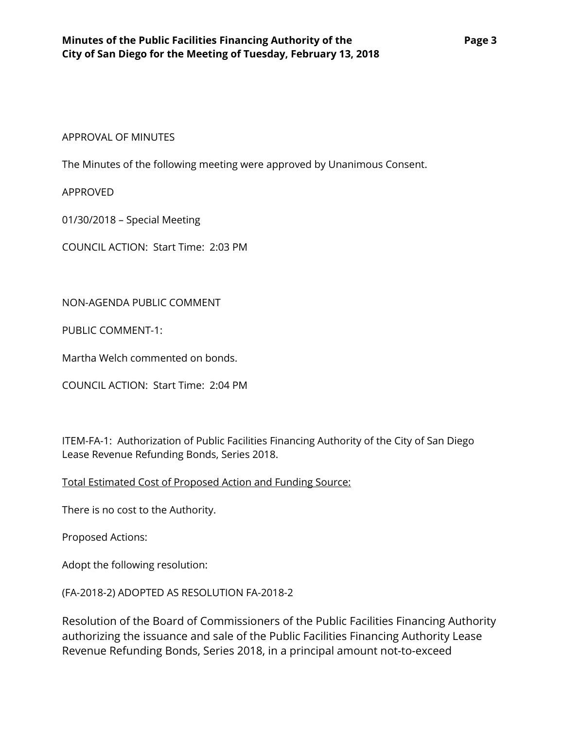#### <span id="page-2-0"></span>APPROVAL OF MINUTES

The Minutes of the following meeting were approved by Unanimous Consent.

APPROVED

01/30/2018 – Special Meeting

COUNCIL ACTION: Start Time: 2:03 PM

<span id="page-2-1"></span>NON-AGENDA PUBLIC COMMENT

PUBLIC COMMENT-1:

Martha Welch commented on bonds.

COUNCIL ACTION: Start Time: 2:04 PM

<span id="page-2-2"></span>ITEM-FA-1: Authorization of Public Facilities Financing Authority of the City of San Diego Lease Revenue Refunding Bonds, Series 2018.

Total Estimated Cost of Proposed Action and Funding Source:

There is no cost to the Authority.

Proposed Actions:

Adopt the following resolution:

(FA-2018-2) ADOPTED AS RESOLUTION FA-2018-2

Resolution of the Board of Commissioners of the Public Facilities Financing Authority authorizing the issuance and sale of the Public Facilities Financing Authority Lease Revenue Refunding Bonds, Series 2018, in a principal amount not-to-exceed